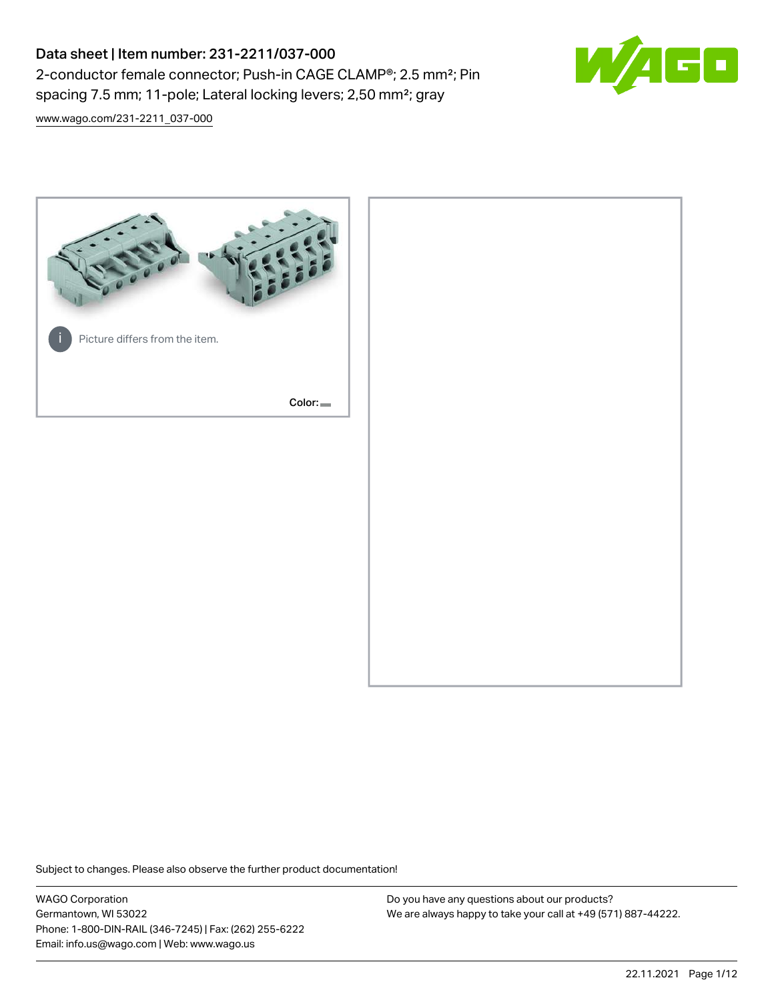# Data sheet | Item number: 231-2211/037-000 2-conductor female connector; Push-in CAGE CLAMP®; 2.5 mm²; Pin spacing 7.5 mm; 11-pole; Lateral locking levers; 2,50 mm²; gray



[www.wago.com/231-2211\\_037-000](http://www.wago.com/231-2211_037-000)



Subject to changes. Please also observe the further product documentation!

WAGO Corporation Germantown, WI 53022 Phone: 1-800-DIN-RAIL (346-7245) | Fax: (262) 255-6222 Email: info.us@wago.com | Web: www.wago.us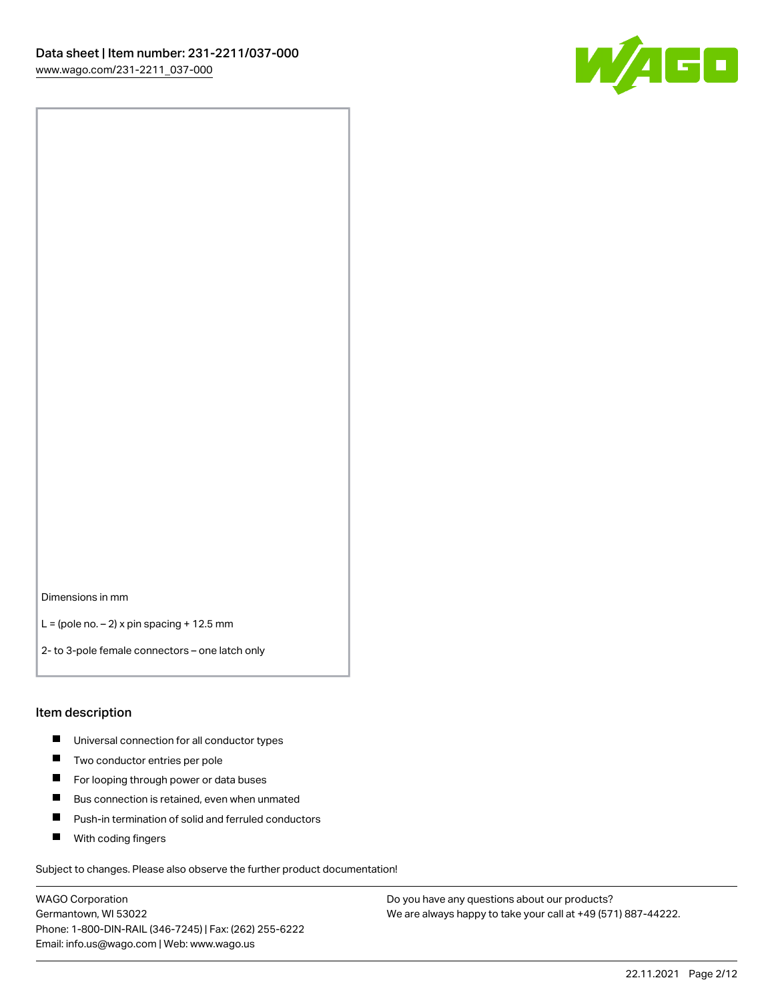

Dimensions in mm

 $L =$  (pole no.  $-2$ ) x pin spacing + 12.5 mm

2- to 3-pole female connectors – one latch only

#### Item description

- **Universal connection for all conductor types**
- **Two conductor entries per pole**
- $\blacksquare$ For looping through power or data buses
- $\blacksquare$ Bus connection is retained, even when unmated
- $\blacksquare$ Push-in termination of solid and ferruled conductors
- $\blacksquare$ With coding fingers

Subject to changes. Please also observe the further product documentation!

WAGO Corporation Germantown, WI 53022 Phone: 1-800-DIN-RAIL (346-7245) | Fax: (262) 255-6222 Email: info.us@wago.com | Web: www.wago.us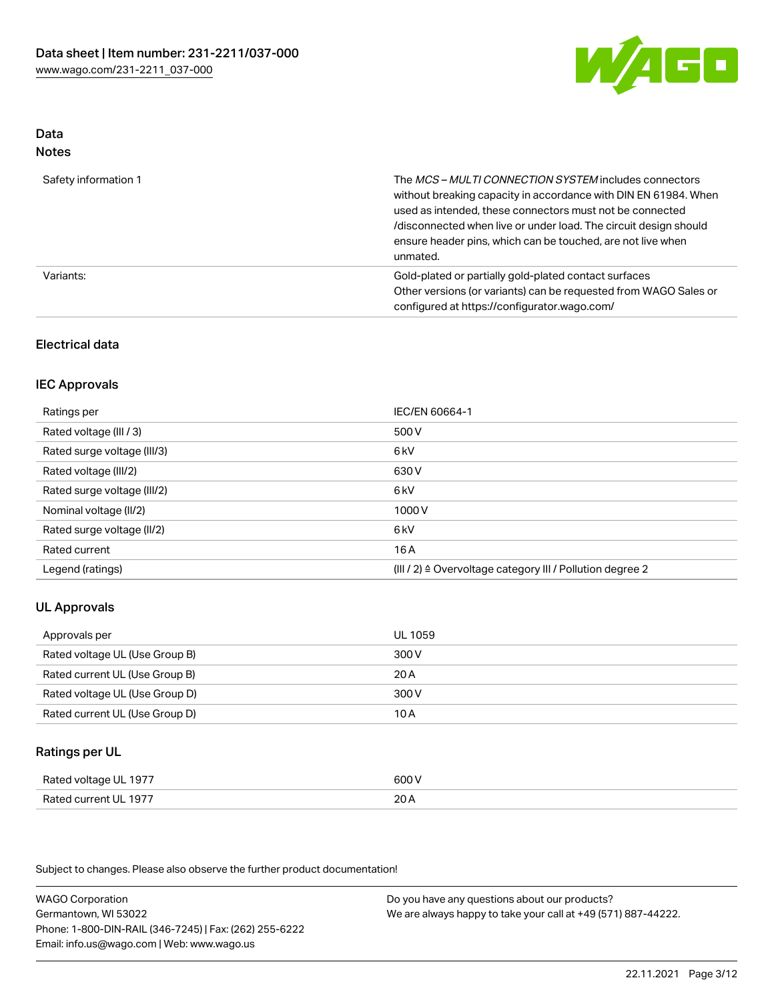

#### Data Notes

| .                    |                                                                                                                                                                                                                                                                                                                                   |
|----------------------|-----------------------------------------------------------------------------------------------------------------------------------------------------------------------------------------------------------------------------------------------------------------------------------------------------------------------------------|
| Safety information 1 | The MCS-MULTI CONNECTION SYSTEM includes connectors<br>without breaking capacity in accordance with DIN EN 61984. When<br>used as intended, these connectors must not be connected<br>/disconnected when live or under load. The circuit design should<br>ensure header pins, which can be touched, are not live when<br>unmated. |
| Variants:            | Gold-plated or partially gold-plated contact surfaces<br>Other versions (or variants) can be requested from WAGO Sales or<br>configured at https://configurator.wago.com/                                                                                                                                                         |

### Electrical data

### IEC Approvals

| Ratings per                 | IEC/EN 60664-1                                                        |
|-----------------------------|-----------------------------------------------------------------------|
| Rated voltage (III / 3)     | 500 V                                                                 |
| Rated surge voltage (III/3) | 6 <sub>k</sub> V                                                      |
| Rated voltage (III/2)       | 630 V                                                                 |
| Rated surge voltage (III/2) | 6 <sub>k</sub> V                                                      |
| Nominal voltage (II/2)      | 1000 V                                                                |
| Rated surge voltage (II/2)  | 6 kV                                                                  |
| Rated current               | 16 A                                                                  |
| Legend (ratings)            | $(III / 2)$ $\triangle$ Overvoltage category III / Pollution degree 2 |

### UL Approvals

| Approvals per                  | UL 1059 |
|--------------------------------|---------|
| Rated voltage UL (Use Group B) | 300 V   |
| Rated current UL (Use Group B) | 20 A    |
| Rated voltage UL (Use Group D) | 300 V   |
| Rated current UL (Use Group D) | 10 A    |

### Ratings per UL

| Rated voltage UL 1977 | 600 V |
|-----------------------|-------|
| Rated current UL 1977 | 20A   |

Subject to changes. Please also observe the further product documentation!

WAGO Corporation Germantown, WI 53022 Phone: 1-800-DIN-RAIL (346-7245) | Fax: (262) 255-6222 Email: info.us@wago.com | Web: www.wago.us Do you have any questions about our products? We are always happy to take your call at +49 (571) 887-44222.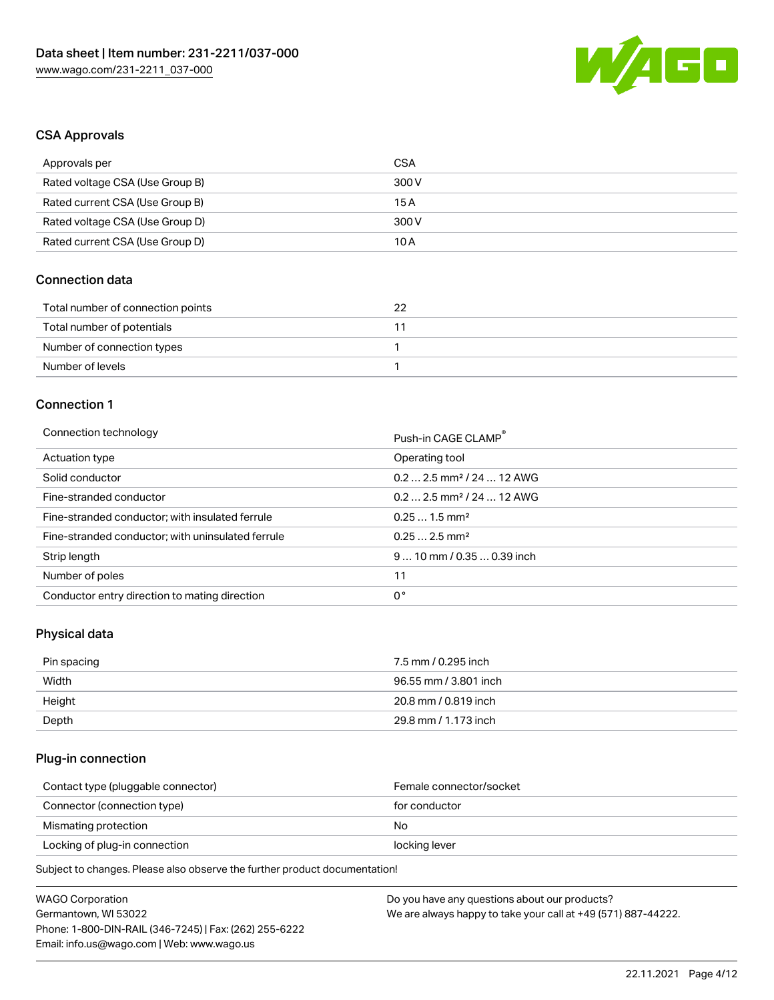

### CSA Approvals

| Approvals per                   | CSA   |
|---------------------------------|-------|
| Rated voltage CSA (Use Group B) | 300 V |
| Rated current CSA (Use Group B) | 15 A  |
| Rated voltage CSA (Use Group D) | 300 V |
| Rated current CSA (Use Group D) | 10 A  |

### Connection data

| Total number of connection points | つつ |
|-----------------------------------|----|
| Total number of potentials        |    |
| Number of connection types        |    |
| Number of levels                  |    |

### Connection 1

#### Connection technology **Push-in CAGE CLAMP<sup>®</sup>**

|                                                   | Push-in CAGE CLAMP                     |
|---------------------------------------------------|----------------------------------------|
| Actuation type                                    | Operating tool                         |
| Solid conductor                                   | $0.2$ 2.5 mm <sup>2</sup> / 24  12 AWG |
| Fine-stranded conductor                           | $0.2$ 2.5 mm <sup>2</sup> / 24  12 AWG |
| Fine-stranded conductor; with insulated ferrule   | $0.251.5$ mm <sup>2</sup>              |
| Fine-stranded conductor; with uninsulated ferrule | $0.252.5$ mm <sup>2</sup>              |
| Strip length                                      | $910$ mm / 0.35  0.39 inch             |
| Number of poles                                   | 11                                     |
| Conductor entry direction to mating direction     | 0°                                     |

# Physical data

| Pin spacing | 7.5 mm / 0.295 inch   |
|-------------|-----------------------|
| Width       | 96.55 mm / 3.801 inch |
| Height      | 20.8 mm / 0.819 inch  |
| Depth       | 29.8 mm / 1.173 inch  |

### Plug-in connection

| Contact type (pluggable connector) | Female connector/socket |
|------------------------------------|-------------------------|
| Connector (connection type)        | for conductor           |
| Mismating protection               | No                      |
| Locking of plug-in connection      | locking lever           |
|                                    |                         |

| <b>WAGO Corporation</b>                                | Do you have any questions about our products?                 |
|--------------------------------------------------------|---------------------------------------------------------------|
| Germantown, WI 53022                                   | We are always happy to take your call at +49 (571) 887-44222. |
| Phone: 1-800-DIN-RAIL (346-7245)   Fax: (262) 255-6222 |                                                               |
| Email: info.us@wago.com   Web: www.wago.us             |                                                               |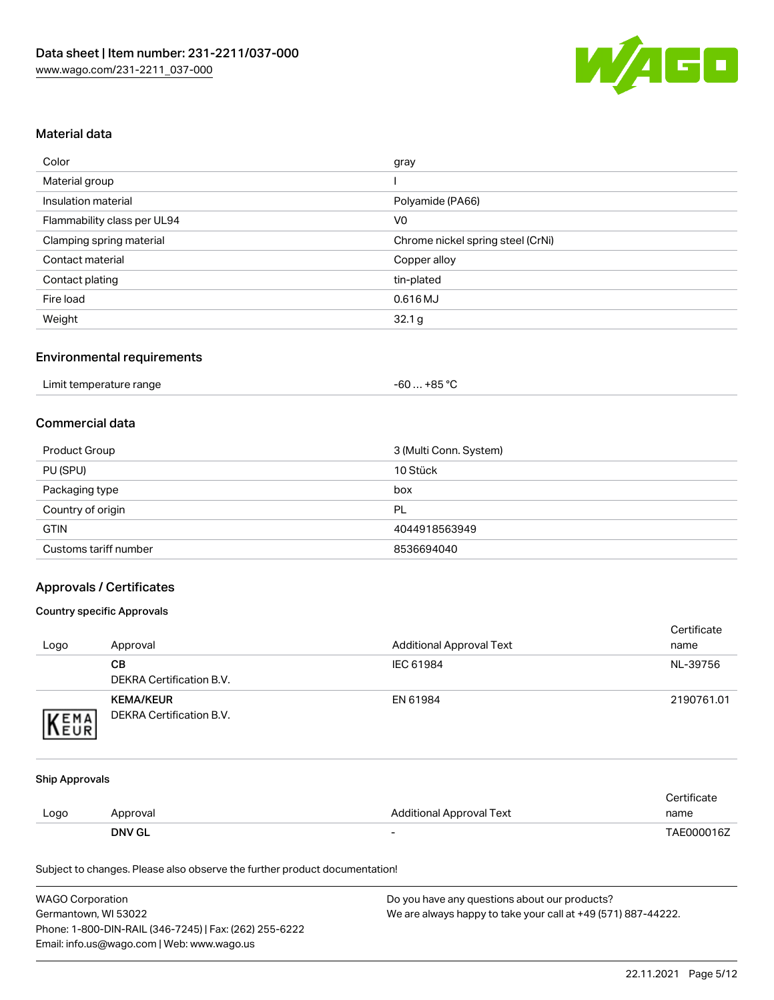

### Material data

| Color                       | gray                              |
|-----------------------------|-----------------------------------|
| Material group              |                                   |
| Insulation material         | Polyamide (PA66)                  |
| Flammability class per UL94 | V <sub>0</sub>                    |
| Clamping spring material    | Chrome nickel spring steel (CrNi) |
| Contact material            | Copper alloy                      |
| Contact plating             | tin-plated                        |
| Fire load                   | 0.616 MJ                          |
| Weight                      | 32.1 <sub>g</sub>                 |

#### Environmental requirements

### Commercial data

| Product Group         | 3 (Multi Conn. System) |
|-----------------------|------------------------|
| PU (SPU)              | 10 Stück               |
| Packaging type        | box                    |
| Country of origin     | PL                     |
| <b>GTIN</b>           | 4044918563949          |
| Customs tariff number | 8536694040             |

### Approvals / Certificates

#### Country specific Approvals

| Logo | Approval                                     | <b>Additional Approval Text</b> | Certificate<br>name |
|------|----------------------------------------------|---------------------------------|---------------------|
|      | CВ<br>DEKRA Certification B.V.               | IEC 61984                       | NL-39756            |
| EMA  | <b>KEMA/KEUR</b><br>DEKRA Certification B.V. | EN 61984                        | 2190761.01          |

#### Ship Approvals

|      | <b>DNV GL</b> | $\overline{\phantom{0}}$ | TAE000016Z  |
|------|---------------|--------------------------|-------------|
| Logo | Approval      | Additional Approval Text | name        |
|      |               |                          | Certificate |

| <b>WAGO Corporation</b>                                | Do you have any questions about our products?                 |
|--------------------------------------------------------|---------------------------------------------------------------|
| Germantown, WI 53022                                   | We are always happy to take your call at +49 (571) 887-44222. |
| Phone: 1-800-DIN-RAIL (346-7245)   Fax: (262) 255-6222 |                                                               |
| Email: info.us@wago.com   Web: www.wago.us             |                                                               |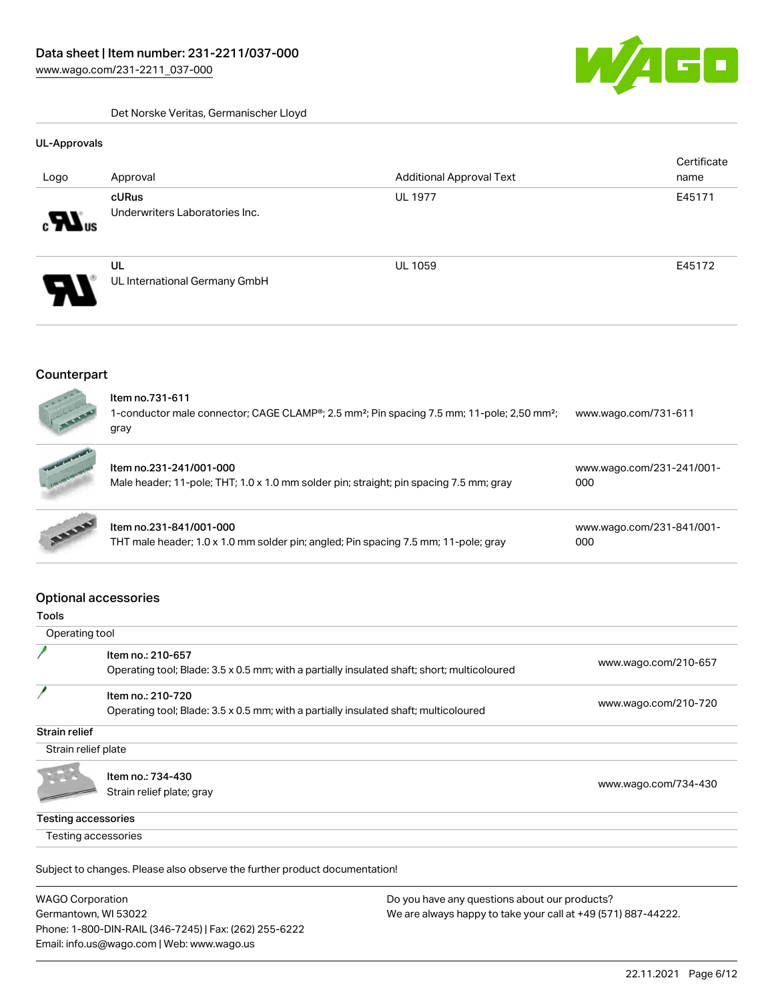Det Norske Veritas, Germanischer Lloyd



#### UL-Approvals

|                    |                                         |                                 | Certificate |
|--------------------|-----------------------------------------|---------------------------------|-------------|
| Logo               | Approval                                | <b>Additional Approval Text</b> | name        |
| $\sum_{\text{us}}$ | cURus<br>Underwriters Laboratories Inc. | <b>UL 1977</b>                  | E45171      |
| Э.                 | UL<br>UL International Germany GmbH     | <b>UL 1059</b>                  | E45172      |

### **Counterpart**



| <b>Comments</b> | Item no.231-241/001-000<br>Male header; 11-pole; THT; 1.0 x 1.0 mm solder pin; straight; pin spacing 7.5 mm; gray | www.wago.com/231-241/001-<br>000 |  |
|-----------------|-------------------------------------------------------------------------------------------------------------------|----------------------------------|--|
| <b>ASSES</b>    | Item no.231-841/001-000<br>THT male header; 1.0 x 1.0 mm solder pin; angled; Pin spacing 7.5 mm; 11-pole; gray    | www.wago.com/231-841/001-<br>000 |  |

### Optional accessories

| Operating tool             |                                                                                                                  |                      |
|----------------------------|------------------------------------------------------------------------------------------------------------------|----------------------|
|                            | Item no.: 210-657<br>Operating tool; Blade: 3.5 x 0.5 mm; with a partially insulated shaft; short; multicoloured | www.wago.com/210-657 |
|                            | Item no.: 210-720<br>Operating tool; Blade: 3.5 x 0.5 mm; with a partially insulated shaft; multicoloured        | www.wago.com/210-720 |
| Strain relief              |                                                                                                                  |                      |
| Strain relief plate        |                                                                                                                  |                      |
|                            | Item no.: 734-430<br>Strain relief plate; gray                                                                   | www.wago.com/734-430 |
| <b>Testing accessories</b> |                                                                                                                  |                      |
| Testing accessories        |                                                                                                                  |                      |

| <b>WAGO Corporation</b>                                | Do you have any questions about our products?                 |
|--------------------------------------------------------|---------------------------------------------------------------|
| Germantown, WI 53022                                   | We are always happy to take your call at +49 (571) 887-44222. |
| Phone: 1-800-DIN-RAIL (346-7245)   Fax: (262) 255-6222 |                                                               |
| Email: info.us@wago.com   Web: www.wago.us             |                                                               |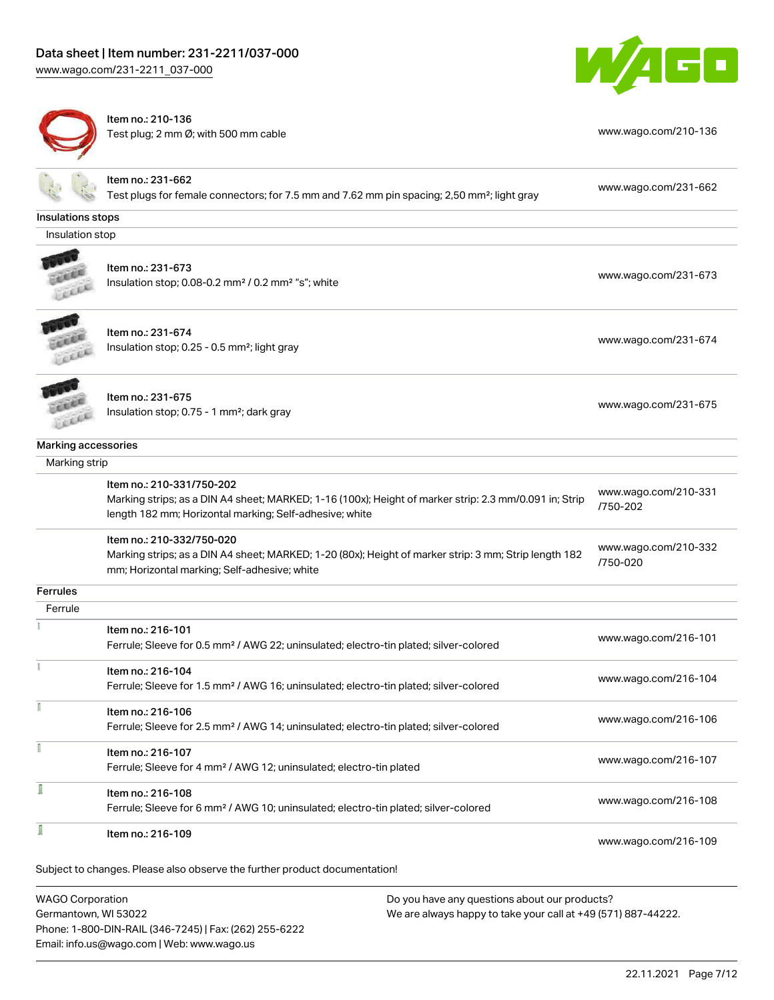



Item no.: 210-136 Test plug; 2 mm Ø; with 500 mm cable [www.wago.com/210-136](http://www.wago.com/210-136)

|                     | Item no.: 231-662<br>Test plugs for female connectors; for 7.5 mm and 7.62 mm pin spacing; 2,50 mm <sup>2</sup> ; light gray | www.wago.com/231-662             |
|---------------------|------------------------------------------------------------------------------------------------------------------------------|----------------------------------|
|                     |                                                                                                                              |                                  |
| Insulations stops   |                                                                                                                              |                                  |
| Insulation stop     |                                                                                                                              |                                  |
|                     |                                                                                                                              |                                  |
|                     | Item no.: 231-673                                                                                                            | www.wago.com/231-673             |
|                     | Insulation stop; 0.08-0.2 mm <sup>2</sup> / 0.2 mm <sup>2</sup> "s"; white                                                   |                                  |
|                     | Item no.: 231-674                                                                                                            |                                  |
|                     | Insulation stop; 0.25 - 0.5 mm <sup>2</sup> ; light gray                                                                     | www.wago.com/231-674             |
|                     |                                                                                                                              |                                  |
|                     | Item no.: 231-675                                                                                                            |                                  |
|                     | Insulation stop; 0.75 - 1 mm <sup>2</sup> ; dark gray                                                                        | www.wago.com/231-675             |
| Marking accessories |                                                                                                                              |                                  |
| Marking strip       |                                                                                                                              |                                  |
|                     | Item no.: 210-331/750-202                                                                                                    |                                  |
|                     | Marking strips; as a DIN A4 sheet; MARKED; 1-16 (100x); Height of marker strip: 2.3 mm/0.091 in; Strip                       | www.wago.com/210-331             |
|                     | length 182 mm; Horizontal marking; Self-adhesive; white                                                                      | /750-202                         |
|                     | Item no.: 210-332/750-020                                                                                                    |                                  |
|                     | Marking strips; as a DIN A4 sheet; MARKED; 1-20 (80x); Height of marker strip: 3 mm; Strip length 182                        | www.wago.com/210-332<br>/750-020 |
|                     | mm; Horizontal marking; Self-adhesive; white                                                                                 |                                  |
| Ferrules            |                                                                                                                              |                                  |
| Ferrule             |                                                                                                                              |                                  |
|                     | Item no.: 216-101                                                                                                            |                                  |
|                     | Ferrule; Sleeve for 0.5 mm <sup>2</sup> / AWG 22; uninsulated; electro-tin plated; silver-colored                            | www.wago.com/216-101             |
|                     | Item no.: 216-104                                                                                                            |                                  |
|                     | Ferrule; Sleeve for 1.5 mm <sup>2</sup> / AWG 16; uninsulated; electro-tin plated; silver-colored                            | www.wago.com/216-104             |
|                     |                                                                                                                              |                                  |
|                     | Item no.: 216-106                                                                                                            | www.wago.com/216-106             |
|                     | Ferrule; Sleeve for 2.5 mm <sup>2</sup> / AWG 14; uninsulated; electro-tin plated; silver-colored                            |                                  |
| Ĭ                   | Item no.: 216-107                                                                                                            |                                  |
|                     | Ferrule; Sleeve for 4 mm <sup>2</sup> / AWG 12; uninsulated; electro-tin plated                                              | www.wago.com/216-107             |
| Ī                   | Item no.: 216-108                                                                                                            |                                  |
|                     | Ferrule; Sleeve for 6 mm <sup>2</sup> / AWG 10; uninsulated; electro-tin plated; silver-colored                              | www.wago.com/216-108             |
| I                   |                                                                                                                              |                                  |
|                     | Item no.: 216-109                                                                                                            | www.wago.com/216-109             |
|                     |                                                                                                                              |                                  |
|                     | Subject to changes. Please also observe the further product documentation!                                                   |                                  |
|                     |                                                                                                                              |                                  |

WAGO Corporation Germantown, WI 53022 Phone: 1-800-DIN-RAIL (346-7245) | Fax: (262) 255-6222 Email: info.us@wago.com | Web: www.wago.us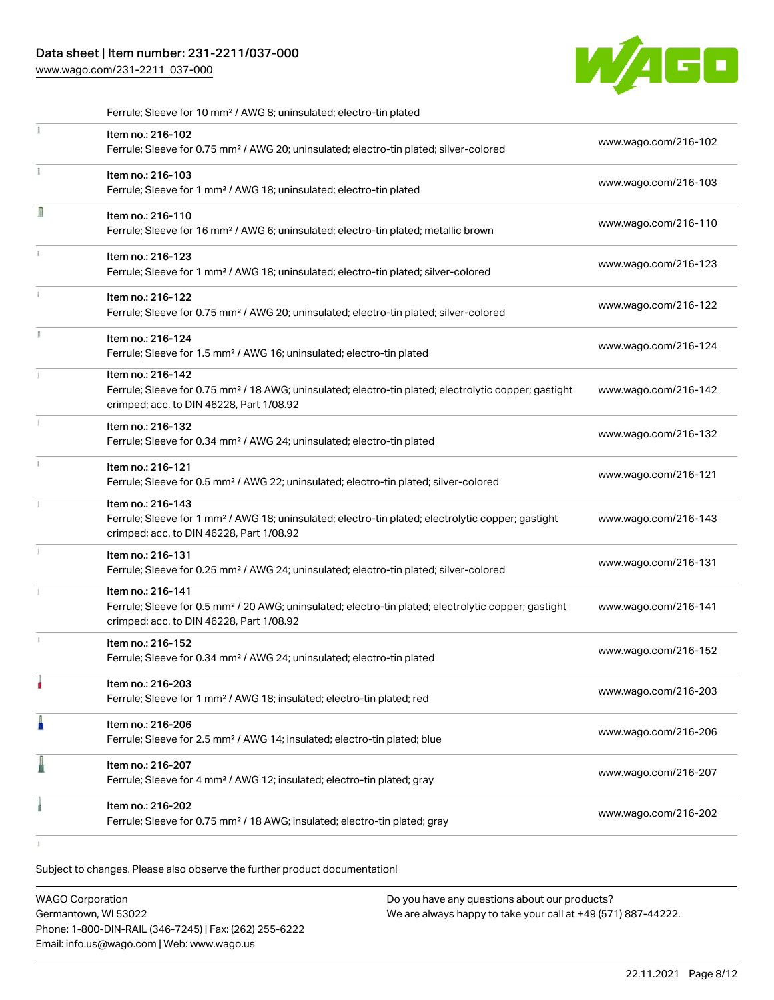## Data sheet | Item number: 231-2211/037-000

[www.wago.com/231-2211\\_037-000](http://www.wago.com/231-2211_037-000)



|    | Ferrule; Sleeve for 10 mm <sup>2</sup> / AWG 8; uninsulated; electro-tin plated                                                                                                    |                      |
|----|------------------------------------------------------------------------------------------------------------------------------------------------------------------------------------|----------------------|
| Ĭ. | Item no.: 216-102<br>Ferrule; Sleeve for 0.75 mm <sup>2</sup> / AWG 20; uninsulated; electro-tin plated; silver-colored                                                            | www.wago.com/216-102 |
| Ť. | Item no.: 216-103<br>Ferrule; Sleeve for 1 mm <sup>2</sup> / AWG 18; uninsulated; electro-tin plated                                                                               | www.wago.com/216-103 |
| I  | Item no.: 216-110<br>Ferrule; Sleeve for 16 mm <sup>2</sup> / AWG 6; uninsulated; electro-tin plated; metallic brown                                                               | www.wago.com/216-110 |
| î. | Item no.: 216-123<br>Ferrule; Sleeve for 1 mm <sup>2</sup> / AWG 18; uninsulated; electro-tin plated; silver-colored                                                               | www.wago.com/216-123 |
| ĵ. | Item no.: 216-122<br>Ferrule; Sleeve for 0.75 mm <sup>2</sup> / AWG 20; uninsulated; electro-tin plated; silver-colored                                                            | www.wago.com/216-122 |
|    | Item no.: 216-124<br>Ferrule; Sleeve for 1.5 mm <sup>2</sup> / AWG 16; uninsulated; electro-tin plated                                                                             | www.wago.com/216-124 |
|    | Item no.: 216-142<br>Ferrule; Sleeve for 0.75 mm <sup>2</sup> / 18 AWG; uninsulated; electro-tin plated; electrolytic copper; gastight<br>crimped; acc. to DIN 46228, Part 1/08.92 | www.wago.com/216-142 |
|    | Item no.: 216-132<br>Ferrule; Sleeve for 0.34 mm <sup>2</sup> / AWG 24; uninsulated; electro-tin plated                                                                            | www.wago.com/216-132 |
| i. | Item no.: 216-121<br>Ferrule; Sleeve for 0.5 mm <sup>2</sup> / AWG 22; uninsulated; electro-tin plated; silver-colored                                                             | www.wago.com/216-121 |
|    | Item no.: 216-143<br>Ferrule; Sleeve for 1 mm <sup>2</sup> / AWG 18; uninsulated; electro-tin plated; electrolytic copper; gastight<br>crimped; acc. to DIN 46228, Part 1/08.92    | www.wago.com/216-143 |
|    | Item no.: 216-131<br>Ferrule; Sleeve for 0.25 mm <sup>2</sup> / AWG 24; uninsulated; electro-tin plated; silver-colored                                                            | www.wago.com/216-131 |
|    | Item no.: 216-141<br>Ferrule; Sleeve for 0.5 mm <sup>2</sup> / 20 AWG; uninsulated; electro-tin plated; electrolytic copper; gastight<br>crimped; acc. to DIN 46228, Part 1/08.92  | www.wago.com/216-141 |
| s. | Item no.: 216-152<br>Ferrule; Sleeve for 0.34 mm <sup>2</sup> / AWG 24; uninsulated; electro-tin plated                                                                            | www.wago.com/216-152 |
|    | Item no.: 216-203<br>Ferrule; Sleeve for 1 mm <sup>2</sup> / AWG 18; insulated; electro-tin plated; red                                                                            | www.wago.com/216-203 |
|    | Item no.: 216-206<br>Ferrule; Sleeve for 2.5 mm <sup>2</sup> / AWG 14; insulated; electro-tin plated; blue                                                                         | www.wago.com/216-206 |
|    | Item no.: 216-207<br>Ferrule; Sleeve for 4 mm <sup>2</sup> / AWG 12; insulated; electro-tin plated; gray                                                                           | www.wago.com/216-207 |
|    | Item no.: 216-202<br>Ferrule; Sleeve for 0.75 mm <sup>2</sup> / 18 AWG; insulated; electro-tin plated; gray                                                                        | www.wago.com/216-202 |
|    |                                                                                                                                                                                    |                      |

| <b>WAGO Corporation</b>                                | Do you have any questions about our products?                 |
|--------------------------------------------------------|---------------------------------------------------------------|
| Germantown. WI 53022                                   | We are always happy to take your call at +49 (571) 887-44222. |
| Phone: 1-800-DIN-RAIL (346-7245)   Fax: (262) 255-6222 |                                                               |
| Email: info.us@wago.com   Web: www.wago.us             |                                                               |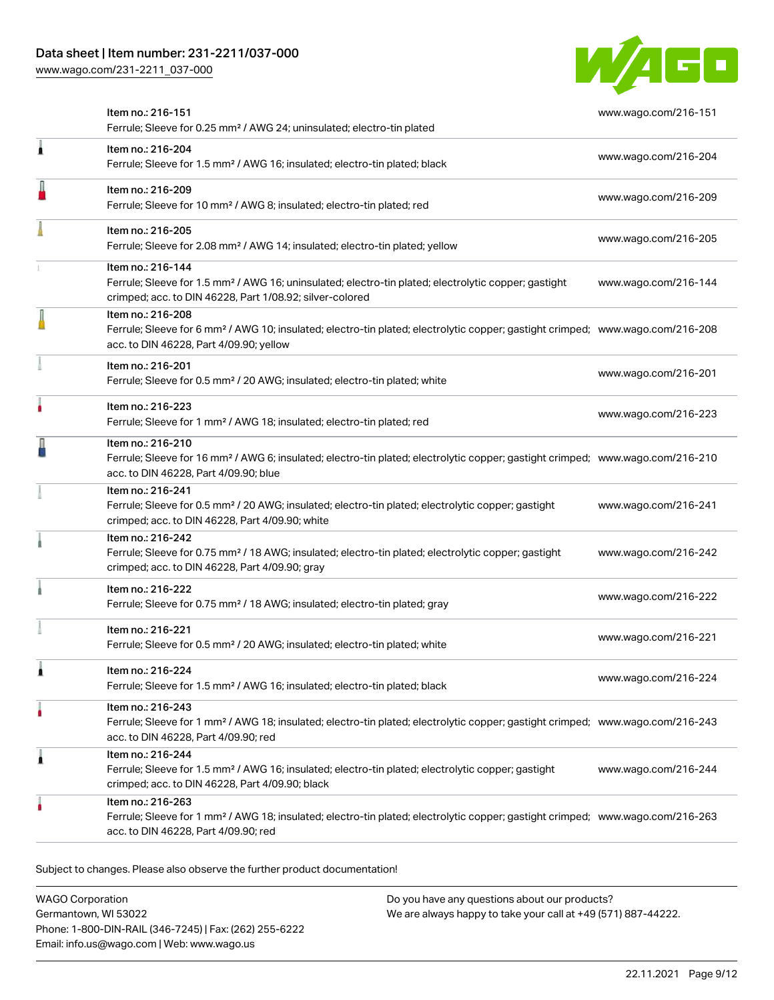[www.wago.com/231-2211\\_037-000](http://www.wago.com/231-2211_037-000)



|   | Item no.: 216-151<br>Ferrule; Sleeve for 0.25 mm <sup>2</sup> / AWG 24; uninsulated; electro-tin plated                                                                                                    | www.wago.com/216-151 |
|---|------------------------------------------------------------------------------------------------------------------------------------------------------------------------------------------------------------|----------------------|
| Â | Item no.: 216-204<br>Ferrule; Sleeve for 1.5 mm <sup>2</sup> / AWG 16; insulated; electro-tin plated; black                                                                                                | www.wago.com/216-204 |
|   | Item no.: 216-209<br>Ferrule; Sleeve for 10 mm <sup>2</sup> / AWG 8; insulated; electro-tin plated; red                                                                                                    | www.wago.com/216-209 |
|   | Item no.: 216-205<br>Ferrule; Sleeve for 2.08 mm <sup>2</sup> / AWG 14; insulated; electro-tin plated; yellow                                                                                              | www.wago.com/216-205 |
|   | Item no.: 216-144<br>Ferrule; Sleeve for 1.5 mm <sup>2</sup> / AWG 16; uninsulated; electro-tin plated; electrolytic copper; gastight<br>crimped; acc. to DIN 46228, Part 1/08.92; silver-colored          | www.wago.com/216-144 |
|   | Item no.: 216-208<br>Ferrule; Sleeve for 6 mm <sup>2</sup> / AWG 10; insulated; electro-tin plated; electrolytic copper; gastight crimped; www.wago.com/216-208<br>acc. to DIN 46228, Part 4/09.90; yellow |                      |
|   | Item no.: 216-201<br>Ferrule; Sleeve for 0.5 mm <sup>2</sup> / 20 AWG; insulated; electro-tin plated; white                                                                                                | www.wago.com/216-201 |
|   | Item no.: 216-223<br>Ferrule; Sleeve for 1 mm <sup>2</sup> / AWG 18; insulated; electro-tin plated; red                                                                                                    | www.wago.com/216-223 |
|   | Item no.: 216-210<br>Ferrule; Sleeve for 16 mm <sup>2</sup> / AWG 6; insulated; electro-tin plated; electrolytic copper; gastight crimped; www.wago.com/216-210<br>acc. to DIN 46228, Part 4/09.90; blue   |                      |
|   | Item no.: 216-241<br>Ferrule; Sleeve for 0.5 mm <sup>2</sup> / 20 AWG; insulated; electro-tin plated; electrolytic copper; gastight<br>crimped; acc. to DIN 46228, Part 4/09.90; white                     | www.wago.com/216-241 |
|   | Item no.: 216-242<br>Ferrule; Sleeve for 0.75 mm <sup>2</sup> / 18 AWG; insulated; electro-tin plated; electrolytic copper; gastight<br>crimped; acc. to DIN 46228, Part 4/09.90; gray                     | www.wago.com/216-242 |
|   | Item no.: 216-222<br>Ferrule; Sleeve for 0.75 mm <sup>2</sup> / 18 AWG; insulated; electro-tin plated; gray                                                                                                | www.wago.com/216-222 |
|   | Item no.: 216-221<br>Ferrule; Sleeve for 0.5 mm <sup>2</sup> / 20 AWG; insulated; electro-tin plated; white                                                                                                | www.wago.com/216-221 |
|   | Item no.: 216-224<br>Ferrule; Sleeve for 1.5 mm <sup>2</sup> / AWG 16; insulated; electro-tin plated; black                                                                                                | www.wago.com/216-224 |
|   | Item no.: 216-243<br>Ferrule; Sleeve for 1 mm <sup>2</sup> / AWG 18; insulated; electro-tin plated; electrolytic copper; gastight crimped; www.wago.com/216-243<br>acc. to DIN 46228, Part 4/09.90; red    |                      |
| 1 | Item no.: 216-244<br>Ferrule; Sleeve for 1.5 mm <sup>2</sup> / AWG 16; insulated; electro-tin plated; electrolytic copper; gastight<br>crimped; acc. to DIN 46228, Part 4/09.90; black                     | www.wago.com/216-244 |
|   | Item no.: 216-263<br>Ferrule; Sleeve for 1 mm <sup>2</sup> / AWG 18; insulated; electro-tin plated; electrolytic copper; gastight crimped; www.wago.com/216-263<br>acc. to DIN 46228, Part 4/09.90; red    |                      |
|   |                                                                                                                                                                                                            |                      |

Subject to changes. Please also observe the further product documentation!

WAGO Corporation Germantown, WI 53022 Phone: 1-800-DIN-RAIL (346-7245) | Fax: (262) 255-6222 Email: info.us@wago.com | Web: www.wago.us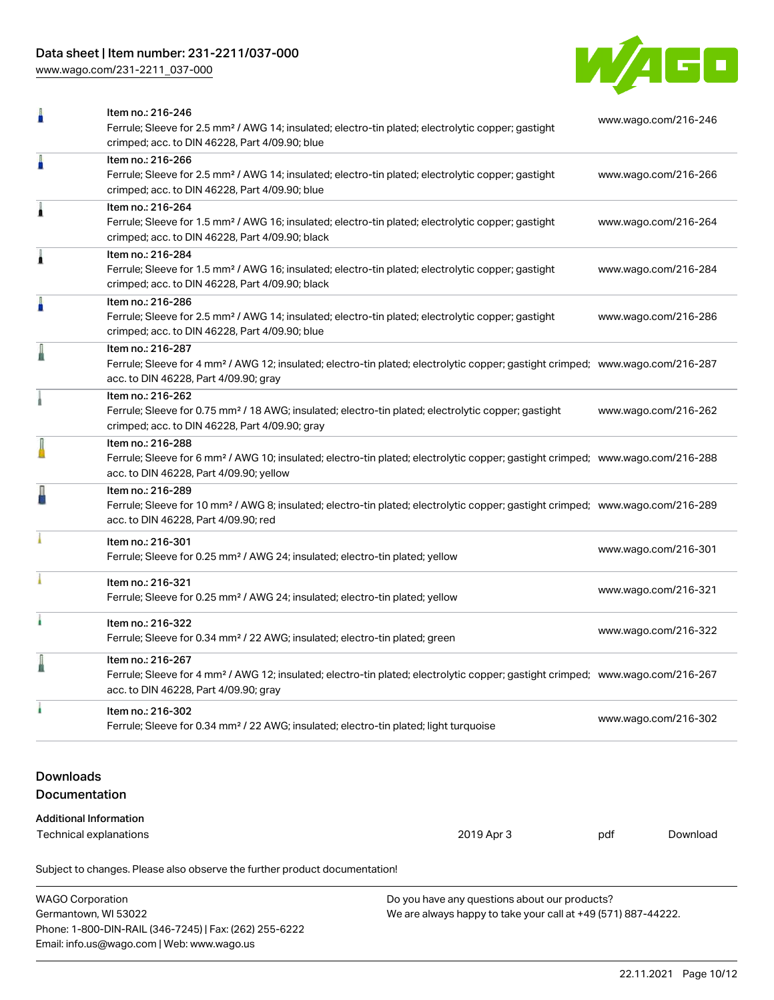# Data sheet | Item number: 231-2211/037-000

[www.wago.com/231-2211\\_037-000](http://www.wago.com/231-2211_037-000)



| Ω                                           | Item no.: 216-246<br>Ferrule; Sleeve for 2.5 mm <sup>2</sup> / AWG 14; insulated; electro-tin plated; electrolytic copper; gastight<br>crimped; acc. to DIN 46228, Part 4/09.90; blue                      |  | www.wago.com/216-246 |          |
|---------------------------------------------|------------------------------------------------------------------------------------------------------------------------------------------------------------------------------------------------------------|--|----------------------|----------|
| ä                                           | Item no.: 216-266<br>Ferrule; Sleeve for 2.5 mm <sup>2</sup> / AWG 14; insulated; electro-tin plated; electrolytic copper; gastight<br>crimped; acc. to DIN 46228, Part 4/09.90; blue                      |  | www.wago.com/216-266 |          |
| Â                                           | Item no.: 216-264<br>Ferrule; Sleeve for 1.5 mm <sup>2</sup> / AWG 16; insulated; electro-tin plated; electrolytic copper; gastight<br>crimped; acc. to DIN 46228, Part 4/09.90; black                     |  | www.wago.com/216-264 |          |
| Â                                           | Item no.: 216-284<br>Ferrule; Sleeve for 1.5 mm <sup>2</sup> / AWG 16; insulated; electro-tin plated; electrolytic copper; gastight<br>crimped; acc. to DIN 46228, Part 4/09.90; black                     |  | www.wago.com/216-284 |          |
| A                                           | Item no.: 216-286<br>Ferrule; Sleeve for 2.5 mm <sup>2</sup> / AWG 14; insulated; electro-tin plated; electrolytic copper; gastight<br>crimped; acc. to DIN 46228, Part 4/09.90; blue                      |  | www.wago.com/216-286 |          |
|                                             | Item no.: 216-287<br>Ferrule; Sleeve for 4 mm <sup>2</sup> / AWG 12; insulated; electro-tin plated; electrolytic copper; gastight crimped; www.wago.com/216-287<br>acc. to DIN 46228, Part 4/09.90; gray   |  |                      |          |
|                                             | Item no.: 216-262<br>Ferrule; Sleeve for 0.75 mm <sup>2</sup> / 18 AWG; insulated; electro-tin plated; electrolytic copper; gastight<br>crimped; acc. to DIN 46228, Part 4/09.90; gray                     |  | www.wago.com/216-262 |          |
|                                             | Item no.: 216-288<br>Ferrule; Sleeve for 6 mm <sup>2</sup> / AWG 10; insulated; electro-tin plated; electrolytic copper; gastight crimped; www.wago.com/216-288<br>acc. to DIN 46228, Part 4/09.90; yellow |  |                      |          |
|                                             | Item no.: 216-289<br>Ferrule; Sleeve for 10 mm <sup>2</sup> / AWG 8; insulated; electro-tin plated; electrolytic copper; gastight crimped; www.wago.com/216-289<br>acc. to DIN 46228, Part 4/09.90; red    |  |                      |          |
|                                             | Item no.: 216-301<br>Ferrule; Sleeve for 0.25 mm <sup>2</sup> / AWG 24; insulated; electro-tin plated; yellow                                                                                              |  | www.wago.com/216-301 |          |
|                                             | Item no.: 216-321<br>Ferrule; Sleeve for 0.25 mm <sup>2</sup> / AWG 24; insulated; electro-tin plated; yellow                                                                                              |  | www.wago.com/216-321 |          |
| i.                                          | Item no.: 216-322<br>Ferrule; Sleeve for 0.34 mm <sup>2</sup> / 22 AWG; insulated; electro-tin plated; green                                                                                               |  | www.wago.com/216-322 |          |
|                                             | Item no.: 216-267<br>Ferrule; Sleeve for 4 mm <sup>2</sup> / AWG 12; insulated; electro-tin plated; electrolytic copper; gastight crimped; www.wago.com/216-267<br>acc. to DIN 46228, Part 4/09.90; gray   |  |                      |          |
| ı                                           | Item no.: 216-302<br>Ferrule; Sleeve for 0.34 mm <sup>2</sup> / 22 AWG; insulated; electro-tin plated; light turquoise                                                                                     |  | www.wago.com/216-302 |          |
| <b>Downloads</b><br><b>Documentation</b>    |                                                                                                                                                                                                            |  |                      |          |
| <b>Additional Information</b>               |                                                                                                                                                                                                            |  |                      |          |
| 2019 Apr 3<br><b>Technical explanations</b> |                                                                                                                                                                                                            |  | pdf                  | Download |
|                                             | Subject to changes. Please also observe the further product documentation!                                                                                                                                 |  |                      |          |

| <b>WAGO Corporation</b>                                | Do you have any questions about our products?                 |  |  |
|--------------------------------------------------------|---------------------------------------------------------------|--|--|
| Germantown, WI 53022                                   | We are always happy to take your call at +49 (571) 887-44222. |  |  |
| Phone: 1-800-DIN-RAIL (346-7245)   Fax: (262) 255-6222 |                                                               |  |  |
| Email: info.us@wago.com   Web: www.wago.us             |                                                               |  |  |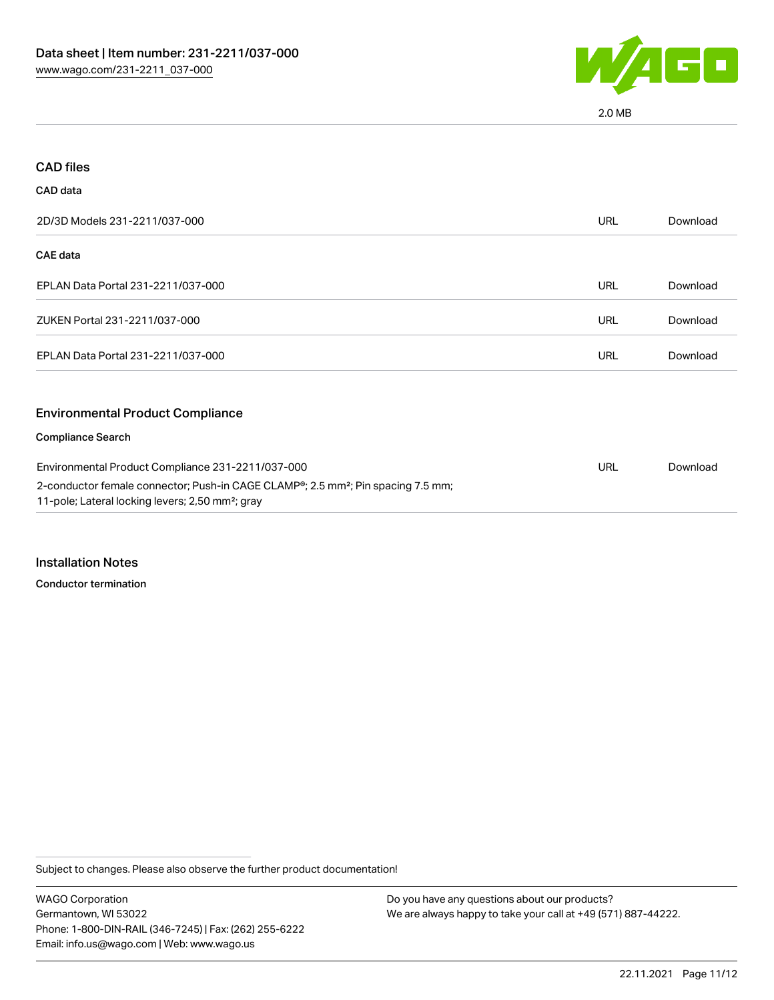

2.0 MB

| <b>CAD files</b>                                                                                                                                  |            |          |
|---------------------------------------------------------------------------------------------------------------------------------------------------|------------|----------|
| <b>CAD</b> data                                                                                                                                   |            |          |
| 2D/3D Models 231-2211/037-000                                                                                                                     | <b>URL</b> | Download |
| <b>CAE</b> data                                                                                                                                   |            |          |
| EPLAN Data Portal 231-2211/037-000                                                                                                                | <b>URL</b> | Download |
| ZUKEN Portal 231-2211/037-000                                                                                                                     | <b>URL</b> | Download |
| EPLAN Data Portal 231-2211/037-000                                                                                                                | <b>URL</b> | Download |
| <b>Environmental Product Compliance</b>                                                                                                           |            |          |
| <b>Compliance Search</b>                                                                                                                          |            |          |
| Environmental Product Compliance 231-2211/037-000<br>2-conductor female connector; Push-in CAGE CLAMP®; 2.5 mm <sup>2</sup> ; Pin spacing 7.5 mm; |            | Download |
| 11-pole; Lateral locking levers; 2,50 mm <sup>2</sup> ; gray                                                                                      |            |          |

Installation Notes

Conductor termination

Subject to changes. Please also observe the further product documentation!

WAGO Corporation Germantown, WI 53022 Phone: 1-800-DIN-RAIL (346-7245) | Fax: (262) 255-6222 Email: info.us@wago.com | Web: www.wago.us